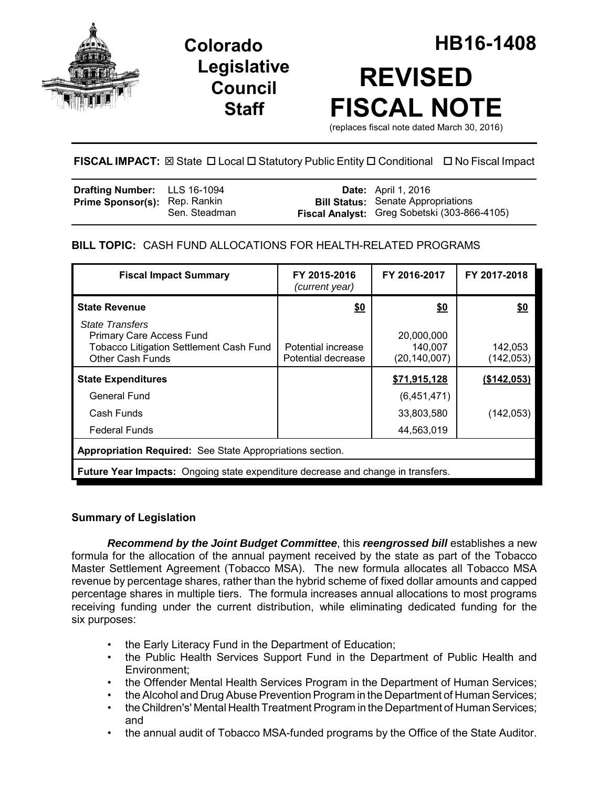

**Legislative Council Staff**



# **FISCAL IMPACT:** ⊠ State **D** Local **D** Statutory Public Entity **D** Conditional **D** No Fiscal Impact

| Drafting Number: LLS 16-1094         |               | <b>Date:</b> April 1, 2016                   |
|--------------------------------------|---------------|----------------------------------------------|
| <b>Prime Sponsor(s):</b> Rep. Rankin |               | <b>Bill Status:</b> Senate Appropriations    |
|                                      | Sen. Steadman | Fiscal Analyst: Greg Sobetski (303-866-4105) |

## **BILL TOPIC:** CASH FUND ALLOCATIONS FOR HEALTH-RELATED PROGRAMS

| <b>Fiscal Impact Summary</b>                                                                                                    | FY 2015-2016<br>(current year)           | FY 2016-2017                            | FY 2017-2018          |  |  |  |
|---------------------------------------------------------------------------------------------------------------------------------|------------------------------------------|-----------------------------------------|-----------------------|--|--|--|
| <b>State Revenue</b>                                                                                                            | <u>\$0</u>                               | \$0                                     | \$0                   |  |  |  |
| <b>State Transfers</b><br>Primary Care Access Fund<br><b>Tobacco Litigation Settlement Cash Fund</b><br><b>Other Cash Funds</b> | Potential increase<br>Potential decrease | 20,000,000<br>140,007<br>(20, 140, 007) | 142,053<br>(142, 053) |  |  |  |
| <b>State Expenditures</b>                                                                                                       |                                          | \$71,915,128                            | (\$142,053)           |  |  |  |
| General Fund                                                                                                                    |                                          | (6,451,471)                             |                       |  |  |  |
| Cash Funds                                                                                                                      |                                          | 33,803,580                              | (142, 053)            |  |  |  |
| <b>Federal Funds</b>                                                                                                            |                                          | 44,563,019                              |                       |  |  |  |
| Appropriation Required: See State Appropriations section.                                                                       |                                          |                                         |                       |  |  |  |
| <b>Future Year Impacts:</b> Ongoing state expenditure decrease and change in transfers.                                         |                                          |                                         |                       |  |  |  |

## **Summary of Legislation**

*Recommend by the Joint Budget Committee*, this *reengrossed bill* establishes a new formula for the allocation of the annual payment received by the state as part of the Tobacco Master Settlement Agreement (Tobacco MSA). The new formula allocates all Tobacco MSA revenue by percentage shares, rather than the hybrid scheme of fixed dollar amounts and capped percentage shares in multiple tiers. The formula increases annual allocations to most programs receiving funding under the current distribution, while eliminating dedicated funding for the six purposes:

- the Early Literacy Fund in the Department of Education;
- the Public Health Services Support Fund in the Department of Public Health and Environment;
- the Offender Mental Health Services Program in the Department of Human Services;
- the Alcohol and Drug Abuse Prevention Program in the Department of Human Services;
- the Children's' Mental Health Treatment Program in the Department of Human Services; and
- the annual audit of Tobacco MSA-funded programs by the Office of the State Auditor.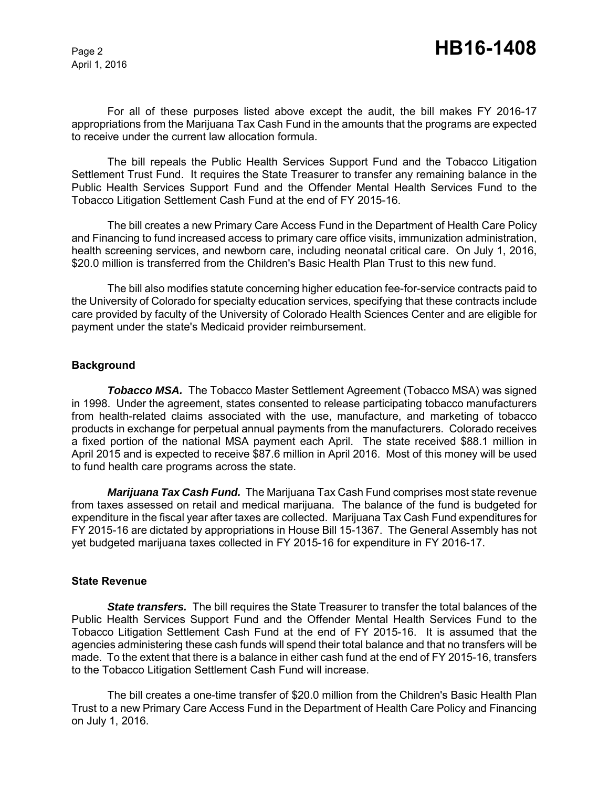For all of these purposes listed above except the audit, the bill makes FY 2016-17 appropriations from the Marijuana Tax Cash Fund in the amounts that the programs are expected to receive under the current law allocation formula.

The bill repeals the Public Health Services Support Fund and the Tobacco Litigation Settlement Trust Fund. It requires the State Treasurer to transfer any remaining balance in the Public Health Services Support Fund and the Offender Mental Health Services Fund to the Tobacco Litigation Settlement Cash Fund at the end of FY 2015-16.

The bill creates a new Primary Care Access Fund in the Department of Health Care Policy and Financing to fund increased access to primary care office visits, immunization administration, health screening services, and newborn care, including neonatal critical care. On July 1, 2016, \$20.0 million is transferred from the Children's Basic Health Plan Trust to this new fund.

The bill also modifies statute concerning higher education fee-for-service contracts paid to the University of Colorado for specialty education services, specifying that these contracts include care provided by faculty of the University of Colorado Health Sciences Center and are eligible for payment under the state's Medicaid provider reimbursement.

### **Background**

**Tobacco MSA.** The Tobacco Master Settlement Agreement (Tobacco MSA) was signed in 1998. Under the agreement, states consented to release participating tobacco manufacturers from health-related claims associated with the use, manufacture, and marketing of tobacco products in exchange for perpetual annual payments from the manufacturers. Colorado receives a fixed portion of the national MSA payment each April. The state received \$88.1 million in April 2015 and is expected to receive \$87.6 million in April 2016. Most of this money will be used to fund health care programs across the state.

*Marijuana Tax Cash Fund.* The Marijuana Tax Cash Fund comprises most state revenue from taxes assessed on retail and medical marijuana. The balance of the fund is budgeted for expenditure in the fiscal year after taxes are collected. Marijuana Tax Cash Fund expenditures for FY 2015-16 are dictated by appropriations in House Bill 15-1367. The General Assembly has not yet budgeted marijuana taxes collected in FY 2015-16 for expenditure in FY 2016-17.

#### **State Revenue**

*State transfers.* The bill requires the State Treasurer to transfer the total balances of the Public Health Services Support Fund and the Offender Mental Health Services Fund to the Tobacco Litigation Settlement Cash Fund at the end of FY 2015-16. It is assumed that the agencies administering these cash funds will spend their total balance and that no transfers will be made. To the extent that there is a balance in either cash fund at the end of FY 2015-16, transfers to the Tobacco Litigation Settlement Cash Fund will increase.

The bill creates a one-time transfer of \$20.0 million from the Children's Basic Health Plan Trust to a new Primary Care Access Fund in the Department of Health Care Policy and Financing on July 1, 2016.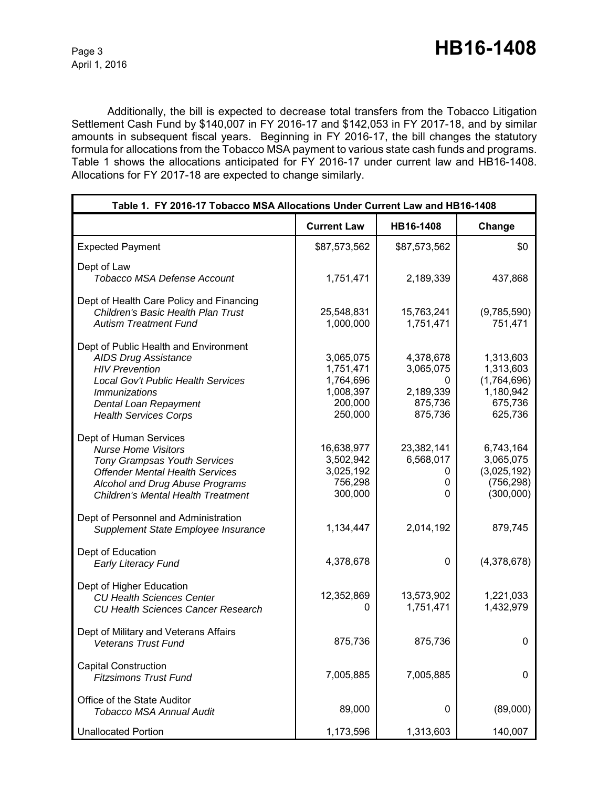Additionally, the bill is expected to decrease total transfers from the Tobacco Litigation Settlement Cash Fund by \$140,007 in FY 2016-17 and \$142,053 in FY 2017-18, and by similar amounts in subsequent fiscal years. Beginning in FY 2016-17, the bill changes the statutory formula for allocations from the Tobacco MSA payment to various state cash funds and programs. Table 1 shows the allocations anticipated for FY 2016-17 under current law and HB16-1408. Allocations for FY 2017-18 are expected to change similarly.

| Table 1. FY 2016-17 Tobacco MSA Allocations Under Current Law and HB16-1408                                                                                                                                           |                                                                        |                                                                |                                                                          |  |
|-----------------------------------------------------------------------------------------------------------------------------------------------------------------------------------------------------------------------|------------------------------------------------------------------------|----------------------------------------------------------------|--------------------------------------------------------------------------|--|
|                                                                                                                                                                                                                       | <b>Current Law</b>                                                     | HB16-1408                                                      | Change                                                                   |  |
| <b>Expected Payment</b>                                                                                                                                                                                               | \$87,573,562                                                           | \$87,573,562                                                   | \$0                                                                      |  |
| Dept of Law<br><b>Tobacco MSA Defense Account</b>                                                                                                                                                                     | 1,751,471                                                              | 2,189,339                                                      | 437,868                                                                  |  |
| Dept of Health Care Policy and Financing<br>Children's Basic Health Plan Trust<br><b>Autism Treatment Fund</b>                                                                                                        | 25,548,831<br>1,000,000                                                | 15,763,241<br>1,751,471                                        | (9,785,590)<br>751,471                                                   |  |
| Dept of Public Health and Environment<br><b>AIDS Drug Assistance</b><br><b>HIV Prevention</b><br>Local Gov't Public Health Services<br><i>Immunizations</i><br>Dental Loan Repayment<br><b>Health Services Corps</b>  | 3,065,075<br>1,751,471<br>1,764,696<br>1,008,397<br>200,000<br>250,000 | 4,378,678<br>3,065,075<br>0<br>2,189,339<br>875,736<br>875,736 | 1,313,603<br>1,313,603<br>(1,764,696)<br>1,180,942<br>675,736<br>625,736 |  |
| Dept of Human Services<br><b>Nurse Home Visitors</b><br><b>Tony Grampsas Youth Services</b><br><b>Offender Mental Health Services</b><br>Alcohol and Drug Abuse Programs<br><b>Children's Mental Health Treatment</b> | 16,638,977<br>3,502,942<br>3,025,192<br>756,298<br>300,000             | 23,382,141<br>6,568,017<br>0<br>0<br>0                         | 6,743,164<br>3,065,075<br>(3,025,192)<br>(756, 298)<br>(300,000)         |  |
| Dept of Personnel and Administration<br>Supplement State Employee Insurance                                                                                                                                           | 1,134,447                                                              | 2,014,192                                                      | 879,745                                                                  |  |
| Dept of Education<br><b>Early Literacy Fund</b>                                                                                                                                                                       | 4,378,678                                                              | $\mathbf{0}$                                                   | (4,378,678)                                                              |  |
| Dept of Higher Education<br><b>CU Health Sciences Center</b><br><b>CU Health Sciences Cancer Research</b>                                                                                                             | 12,352,869<br>0                                                        | 13,573,902<br>1,751,471                                        | 1,221,033<br>1,432,979                                                   |  |
| Dept of Military and Veterans Affairs<br><b>Veterans Trust Fund</b>                                                                                                                                                   | 875,736                                                                | 875,736                                                        | 0                                                                        |  |
| <b>Capital Construction</b><br><b>Fitzsimons Trust Fund</b>                                                                                                                                                           | 7,005,885                                                              | 7,005,885                                                      | 0                                                                        |  |
| Office of the State Auditor<br><b>Tobacco MSA Annual Audit</b>                                                                                                                                                        | 89,000                                                                 | 0                                                              | (89,000)                                                                 |  |
| <b>Unallocated Portion</b>                                                                                                                                                                                            | 1,173,596                                                              | 1,313,603                                                      | 140,007                                                                  |  |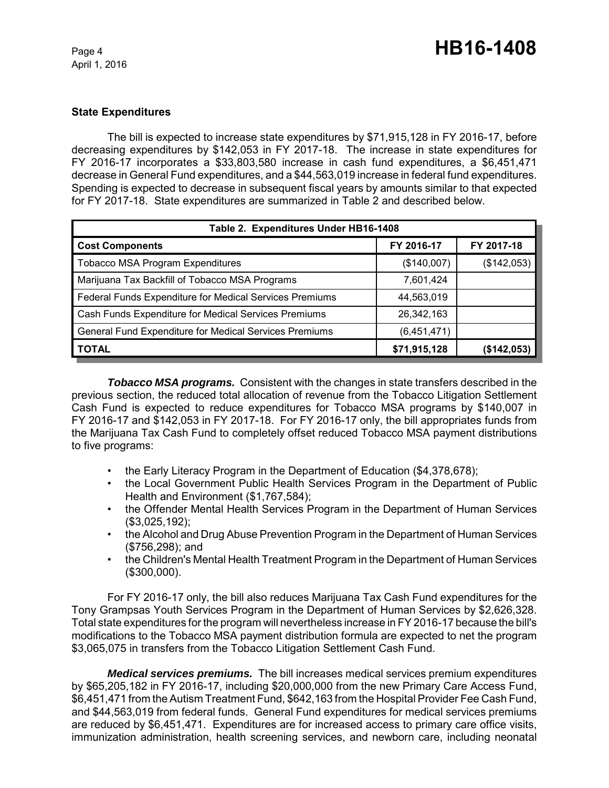## **State Expenditures**

The bill is expected to increase state expenditures by \$71,915,128 in FY 2016-17, before decreasing expenditures by \$142,053 in FY 2017-18. The increase in state expenditures for FY 2016-17 incorporates a \$33,803,580 increase in cash fund expenditures, a \$6,451,471 decrease in General Fund expenditures, and a \$44,563,019 increase in federal fund expenditures. Spending is expected to decrease in subsequent fiscal years by amounts similar to that expected for FY 2017-18. State expenditures are summarized in Table 2 and described below.

| Table 2. Expenditures Under HB16-1408                   |              |             |  |  |  |
|---------------------------------------------------------|--------------|-------------|--|--|--|
| <b>Cost Components</b>                                  | FY 2016-17   | FY 2017-18  |  |  |  |
| <b>Tobacco MSA Program Expenditures</b>                 | (\$140,007)  | (\$142,053) |  |  |  |
| Marijuana Tax Backfill of Tobacco MSA Programs          | 7,601,424    |             |  |  |  |
| Federal Funds Expenditure for Medical Services Premiums | 44,563,019   |             |  |  |  |
| Cash Funds Expenditure for Medical Services Premiums    | 26,342,163   |             |  |  |  |
| General Fund Expenditure for Medical Services Premiums  | (6,451,471)  |             |  |  |  |
| <b>TOTAL</b>                                            | \$71,915,128 | (\$142,053) |  |  |  |

*Tobacco MSA programs.* Consistent with the changes in state transfers described in the previous section, the reduced total allocation of revenue from the Tobacco Litigation Settlement Cash Fund is expected to reduce expenditures for Tobacco MSA programs by \$140,007 in FY 2016-17 and \$142,053 in FY 2017-18. For FY 2016-17 only, the bill appropriates funds from the Marijuana Tax Cash Fund to completely offset reduced Tobacco MSA payment distributions to five programs:

- the Early Literacy Program in the Department of Education (\$4,378,678);
- the Local Government Public Health Services Program in the Department of Public Health and Environment (\$1,767,584);
- the Offender Mental Health Services Program in the Department of Human Services (\$3,025,192);
- the Alcohol and Drug Abuse Prevention Program in the Department of Human Services (\$756,298); and
- the Children's Mental Health Treatment Program in the Department of Human Services (\$300,000).

For FY 2016-17 only, the bill also reduces Marijuana Tax Cash Fund expenditures for the Tony Grampsas Youth Services Program in the Department of Human Services by \$2,626,328. Total state expenditures for the program will nevertheless increase in FY 2016-17 because the bill's modifications to the Tobacco MSA payment distribution formula are expected to net the program \$3,065,075 in transfers from the Tobacco Litigation Settlement Cash Fund.

*Medical services premiums.* The bill increases medical services premium expenditures by \$65,205,182 in FY 2016-17, including \$20,000,000 from the new Primary Care Access Fund, \$6,451,471 from the Autism Treatment Fund, \$642,163 from the Hospital Provider Fee Cash Fund, and \$44,563,019 from federal funds. General Fund expenditures for medical services premiums are reduced by \$6,451,471. Expenditures are for increased access to primary care office visits, immunization administration, health screening services, and newborn care, including neonatal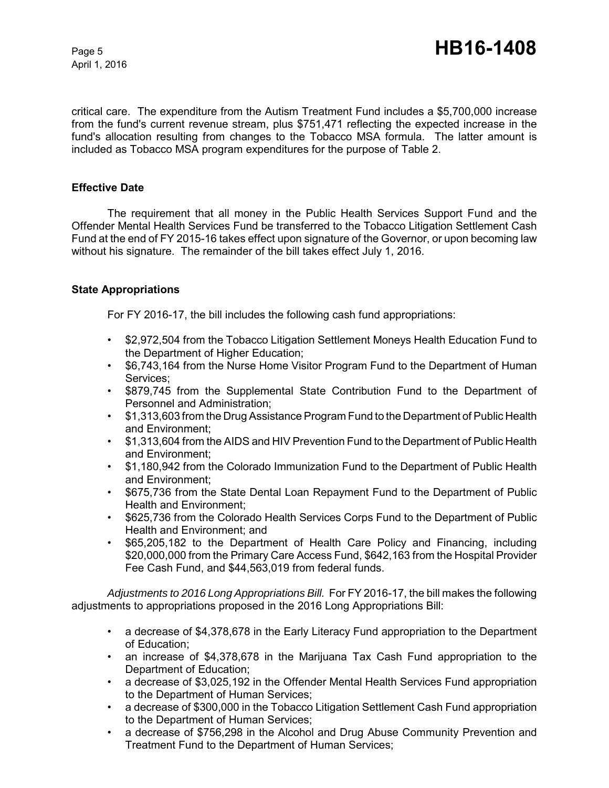critical care. The expenditure from the Autism Treatment Fund includes a \$5,700,000 increase from the fund's current revenue stream, plus \$751,471 reflecting the expected increase in the fund's allocation resulting from changes to the Tobacco MSA formula. The latter amount is included as Tobacco MSA program expenditures for the purpose of Table 2.

## **Effective Date**

The requirement that all money in the Public Health Services Support Fund and the Offender Mental Health Services Fund be transferred to the Tobacco Litigation Settlement Cash Fund at the end of FY 2015-16 takes effect upon signature of the Governor, or upon becoming law without his signature. The remainder of the bill takes effect July 1, 2016.

## **State Appropriations**

For FY 2016-17, the bill includes the following cash fund appropriations:

- \$2,972,504 from the Tobacco Litigation Settlement Moneys Health Education Fund to the Department of Higher Education;
- \$6,743,164 from the Nurse Home Visitor Program Fund to the Department of Human Services;
- \$879,745 from the Supplemental State Contribution Fund to the Department of Personnel and Administration;
- \$1,313,603 from the Drug Assistance Program Fund to the Department of Public Health and Environment;
- \$1,313,604 from the AIDS and HIV Prevention Fund to the Department of Public Health and Environment;
- \$1,180,942 from the Colorado Immunization Fund to the Department of Public Health and Environment;
- \$675,736 from the State Dental Loan Repayment Fund to the Department of Public Health and Environment;
- \$625,736 from the Colorado Health Services Corps Fund to the Department of Public Health and Environment; and
- \$65,205,182 to the Department of Health Care Policy and Financing, including \$20,000,000 from the Primary Care Access Fund, \$642,163 from the Hospital Provider Fee Cash Fund, and \$44,563,019 from federal funds.

*Adjustments to 2016 Long Appropriations Bill.* For FY 2016-17, the bill makes the following adjustments to appropriations proposed in the 2016 Long Appropriations Bill:

- a decrease of \$4,378,678 in the Early Literacy Fund appropriation to the Department of Education;
- an increase of \$4,378,678 in the Marijuana Tax Cash Fund appropriation to the Department of Education;
- a decrease of \$3,025,192 in the Offender Mental Health Services Fund appropriation to the Department of Human Services;
- a decrease of \$300,000 in the Tobacco Litigation Settlement Cash Fund appropriation to the Department of Human Services;
- a decrease of \$756,298 in the Alcohol and Drug Abuse Community Prevention and Treatment Fund to the Department of Human Services;